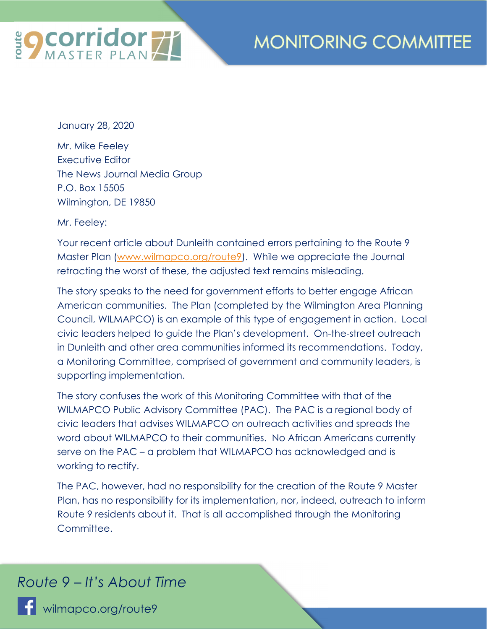

January 28, 2020

Mr. Mike Feeley Executive Editor The News Journal Media Group P.O. Box 15505 Wilmington, DE 19850

Mr. Feeley:

Your recent article about Dunleith contained errors pertaining to the Route 9 Master Plan (www.wilmapco.org/route9). While we appreciate the Journal retracting the worst of these, the adjusted text remains misleading.

The story speaks to the need for government efforts to better engage African American communities. The Plan (completed by the Wilmington Area Planning Council, WILMAPCO) is an example of this type of engagement in action. Local civic leaders helped to guide the Plan's development. On-the-street outreach in Dunleith and other area communities informed its recommendations. Today, a Monitoring Committee, comprised of government and community leaders, is supporting implementation.

The story confuses the work of this Monitoring Committee with that of the WILMAPCO Public Advisory Committee (PAC). The PAC is a regional body of civic leaders that advises WILMAPCO on outreach activities and spreads the word about WILMAPCO to their communities. No African Americans currently serve on the PAC – a problem that WILMAPCO has acknowledged and is working to rectify.

The PAC, however, had no responsibility for the creation of the Route 9 Master Plan, has no responsibility for its implementation, nor, indeed, outreach to inform Route 9 residents about it. That is all accomplished through the Monitoring Committee.

## *Route 9 – It's About Time*

**F** wilmapco.org/route9